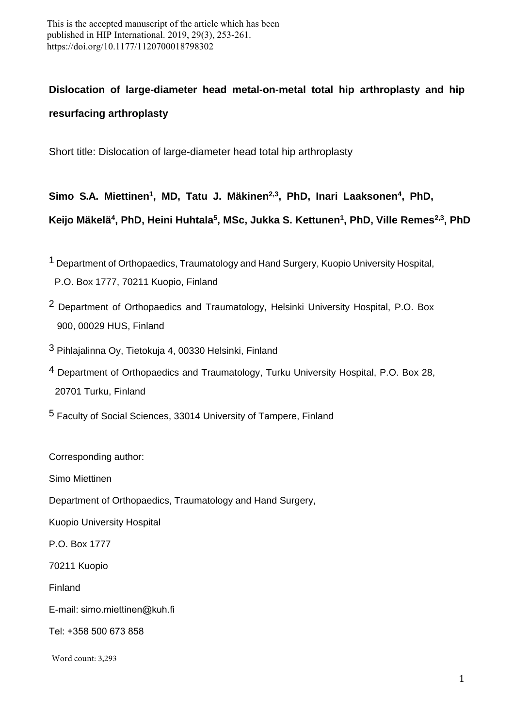This is the accepted manuscript of the article which has been published in HIP International. 2019, 29(3), 253-261. https://doi.org/10.1177/1120700018798302

# **Dislocation of large-diameter head metal-on-metal total hip arthroplasty and hip resurfacing arthroplasty**

Short title: Dislocation of large-diameter head total hip arthroplasty

**Simo S.A. Miettinen<sup>1</sup> , MD, Tatu J. Mäkinen2,3, PhD, Inari Laaksonen<sup>4</sup> , PhD,** 

**Keijo Mäkelä<sup>4</sup> , PhD, Heini Huhtala<sup>5</sup> , MSc, Jukka S. Kettunen<sup>1</sup> , PhD, Ville Remes2,3 , PhD** 

- 1 Department of Orthopaedics, Traumatology and Hand Surgery, Kuopio University Hospital, P.O. Box 1777, 70211 Kuopio, Finland
- <sup>2</sup> Department of Orthopaedics and Traumatology, Helsinki University Hospital, P.O. Box 900, 00029 HUS, Finland
- 3 Pihlajalinna Oy, Tietokuja 4, 00330 Helsinki, Finland
- 4 Department of Orthopaedics and Traumatology, Turku University Hospital, P.O. Box 28, 20701 Turku, Finland
- 5 Faculty of Social Sciences, 33014 University of Tampere, Finland

Corresponding author:

Simo Miettinen

Department of Orthopaedics, Traumatology and Hand Surgery,

Kuopio University Hospital

P.O. Box 1777

70211 Kuopio

Finland

E-mail: simo.miettinen@kuh.fi

Tel: +358 500 673 858

Word count: 3,293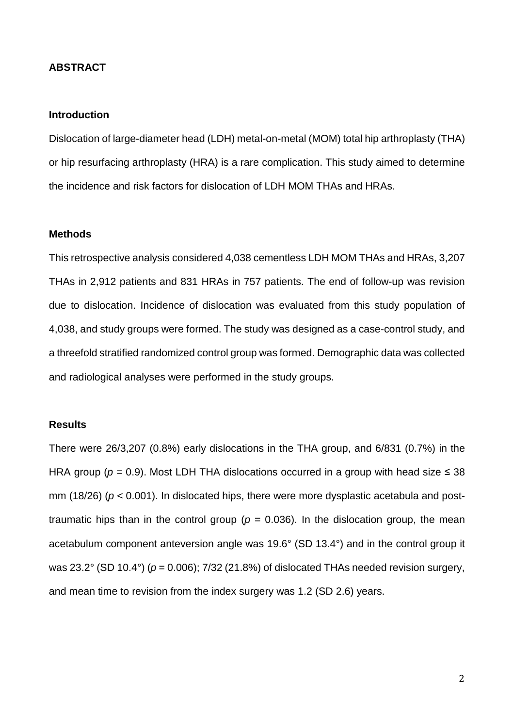#### **ABSTRACT**

#### **Introduction**

Dislocation of large-diameter head (LDH) metal-on-metal (MOM) total hip arthroplasty (THA) or hip resurfacing arthroplasty (HRA) is a rare complication. This study aimed to determine the incidence and risk factors for dislocation of LDH MOM THAs and HRAs.

#### **Methods**

This retrospective analysis considered 4,038 cementless LDH MOM THAs and HRAs, 3,207 THAs in 2,912 patients and 831 HRAs in 757 patients. The end of follow-up was revision due to dislocation. Incidence of dislocation was evaluated from this study population of 4,038, and study groups were formed. The study was designed as a case-control study, and a threefold stratified randomized control group was formed. Demographic data was collected and radiological analyses were performed in the study groups.

#### **Results**

There were 26/3,207 (0.8%) early dislocations in the THA group, and 6/831 (0.7%) in the HRA group ( $p = 0.9$ ). Most LDH THA dislocations occurred in a group with head size  $\leq 38$ mm (18/26) (*p* < 0.001). In dislocated hips, there were more dysplastic acetabula and posttraumatic hips than in the control group ( $p = 0.036$ ). In the dislocation group, the mean acetabulum component anteversion angle was 19.6° (SD 13.4°) and in the control group it was 23.2° (SD 10.4°) (*p* = 0.006); 7/32 (21.8%) of dislocated THAs needed revision surgery, and mean time to revision from the index surgery was 1.2 (SD 2.6) years.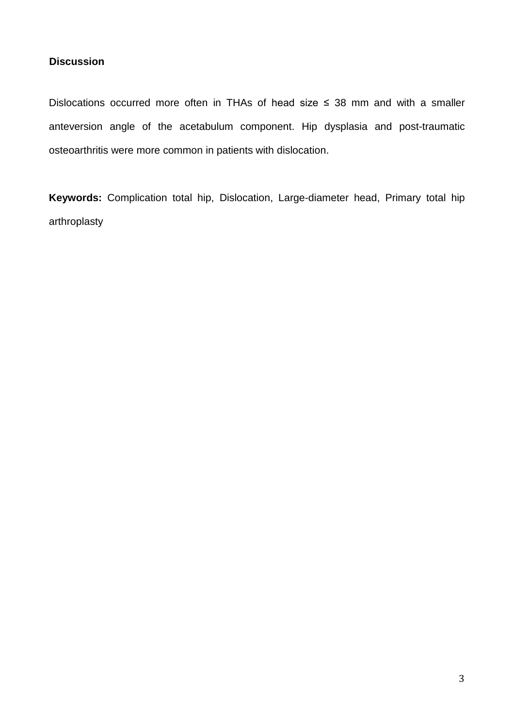# **Discussion**

Dislocations occurred more often in THAs of head size  $\leq$  38 mm and with a smaller anteversion angle of the acetabulum component. Hip dysplasia and post-traumatic osteoarthritis were more common in patients with dislocation.

**Keywords:** Complication total hip, Dislocation, Large-diameter head, Primary total hip arthroplasty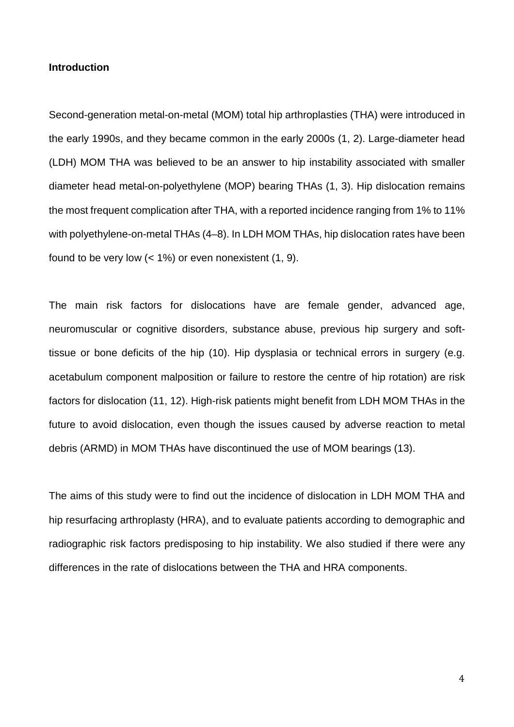#### **Introduction**

Second-generation metal-on-metal (MOM) total hip arthroplasties (THA) were introduced in the early 1990s, and they became common in the early 2000s (1, 2). Large-diameter head (LDH) MOM THA was believed to be an answer to hip instability associated with smaller diameter head metal-on-polyethylene (MOP) bearing THAs (1, 3). Hip dislocation remains the most frequent complication after THA, with a reported incidence ranging from 1% to 11% with polyethylene-on-metal THAs (4–8). In LDH MOM THAs, hip dislocation rates have been found to be very low  $(< 1\%)$  or even nonexistent  $(1, 9)$ .

The main risk factors for dislocations have are female gender, advanced age, neuromuscular or cognitive disorders, substance abuse, previous hip surgery and softtissue or bone deficits of the hip (10). Hip dysplasia or technical errors in surgery (e.g. acetabulum component malposition or failure to restore the centre of hip rotation) are risk factors for dislocation (11, 12). High-risk patients might benefit from LDH MOM THAs in the future to avoid dislocation, even though the issues caused by adverse reaction to metal debris (ARMD) in MOM THAs have discontinued the use of MOM bearings (13).

The aims of this study were to find out the incidence of dislocation in LDH MOM THA and hip resurfacing arthroplasty (HRA), and to evaluate patients according to demographic and radiographic risk factors predisposing to hip instability. We also studied if there were any differences in the rate of dislocations between the THA and HRA components.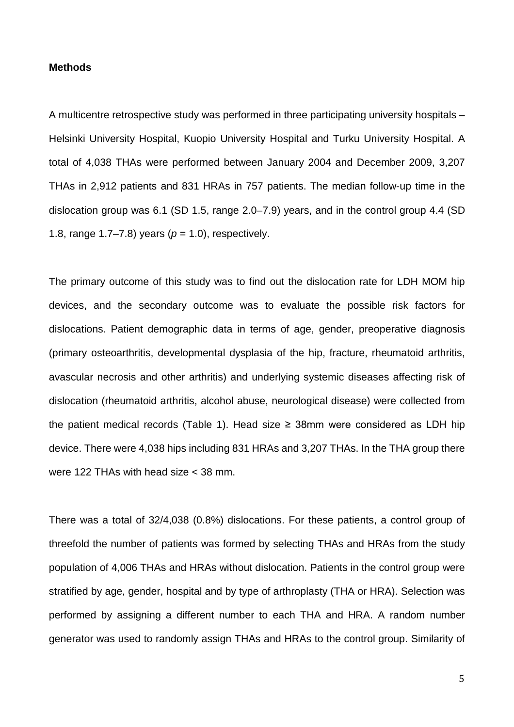#### **Methods**

A multicentre retrospective study was performed in three participating university hospitals – Helsinki University Hospital, Kuopio University Hospital and Turku University Hospital. A total of 4,038 THAs were performed between January 2004 and December 2009, 3,207 THAs in 2,912 patients and 831 HRAs in 757 patients. The median follow-up time in the dislocation group was 6.1 (SD 1.5, range 2.0–7.9) years, and in the control group 4.4 (SD 1.8, range  $1.7-7.8$ ) years ( $p = 1.0$ ), respectively.

The primary outcome of this study was to find out the dislocation rate for LDH MOM hip devices, and the secondary outcome was to evaluate the possible risk factors for dislocations. Patient demographic data in terms of age, gender, preoperative diagnosis (primary osteoarthritis, developmental dysplasia of the hip, fracture, rheumatoid arthritis, avascular necrosis and other arthritis) and underlying systemic diseases affecting risk of dislocation (rheumatoid arthritis, alcohol abuse, neurological disease) were collected from the patient medical records (Table 1). Head size  $\geq$  38mm were considered as LDH hip device. There were 4,038 hips including 831 HRAs and 3,207 THAs. In the THA group there were 122 THAs with head size < 38 mm.

There was a total of 32/4,038 (0.8%) dislocations. For these patients, a control group of threefold the number of patients was formed by selecting THAs and HRAs from the study population of 4,006 THAs and HRAs without dislocation. Patients in the control group were stratified by age, gender, hospital and by type of arthroplasty (THA or HRA). Selection was performed by assigning a different number to each THA and HRA. A random number generator was used to randomly assign THAs and HRAs to the control group. Similarity of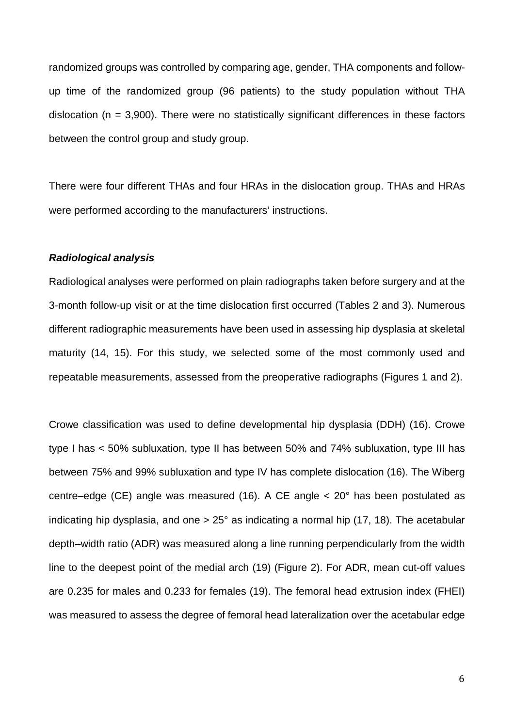randomized groups was controlled by comparing age, gender, THA components and followup time of the randomized group (96 patients) to the study population without THA dislocation ( $n = 3,900$ ). There were no statistically significant differences in these factors between the control group and study group.

There were four different THAs and four HRAs in the dislocation group. THAs and HRAs were performed according to the manufacturers' instructions.

#### *Radiological analysis*

Radiological analyses were performed on plain radiographs taken before surgery and at the 3-month follow-up visit or at the time dislocation first occurred (Tables 2 and 3). Numerous different radiographic measurements have been used in assessing hip dysplasia at skeletal maturity (14, 15). For this study, we selected some of the most commonly used and repeatable measurements, assessed from the preoperative radiographs (Figures 1 and 2).

Crowe classification was used to define developmental hip dysplasia (DDH) (16). Crowe type I has < 50% subluxation, type II has between 50% and 74% subluxation, type III has between 75% and 99% subluxation and type IV has complete dislocation (16). The Wiberg centre–edge (CE) angle was measured (16). A CE angle < 20° has been postulated as indicating hip dysplasia, and one > 25° as indicating a normal hip (17, 18). The acetabular depth–width ratio (ADR) was measured along a line running perpendicularly from the width line to the deepest point of the medial arch (19) (Figure 2). For ADR, mean cut-off values are 0.235 for males and 0.233 for females (19). The femoral head extrusion index (FHEI) was measured to assess the degree of femoral head lateralization over the acetabular edge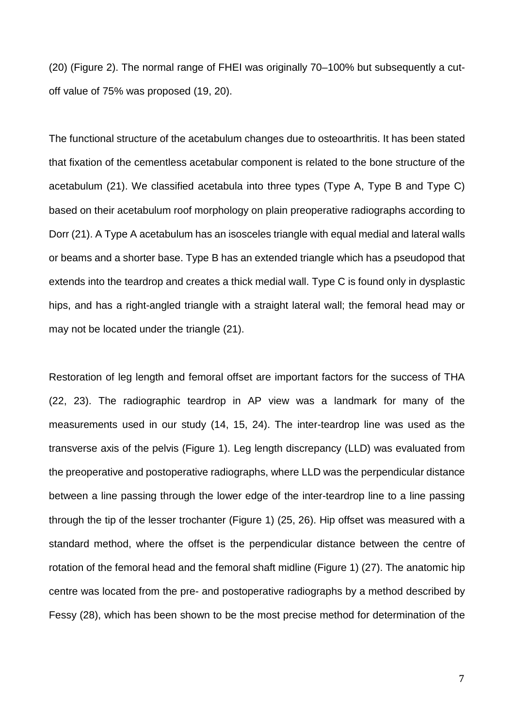(20) (Figure 2). The normal range of FHEI was originally 70–100% but subsequently a cutoff value of 75% was proposed (19, 20).

The functional structure of the acetabulum changes due to osteoarthritis. It has been stated that fixation of the cementless acetabular component is related to the bone structure of the acetabulum (21). We classified acetabula into three types (Type A, Type B and Type C) based on their acetabulum roof morphology on plain preoperative radiographs according to Dorr (21). A Type A acetabulum has an isosceles triangle with equal medial and lateral walls or beams and a shorter base. Type B has an extended triangle which has a pseudopod that extends into the teardrop and creates a thick medial wall. Type C is found only in dysplastic hips, and has a right-angled triangle with a straight lateral wall; the femoral head may or may not be located under the triangle (21).

Restoration of leg length and femoral offset are important factors for the success of THA (22, 23). The radiographic teardrop in AP view was a landmark for many of the measurements used in our study (14, 15, 24). The inter-teardrop line was used as the transverse axis of the pelvis (Figure 1). Leg length discrepancy (LLD) was evaluated from the preoperative and postoperative radiographs, where LLD was the perpendicular distance between a line passing through the lower edge of the inter-teardrop line to a line passing through the tip of the lesser trochanter (Figure 1) (25, 26). Hip offset was measured with a standard method, where the offset is the perpendicular distance between the centre of rotation of the femoral head and the femoral shaft midline (Figure 1) (27). The anatomic hip centre was located from the pre- and postoperative radiographs by a method described by Fessy (28), which has been shown to be the most precise method for determination of the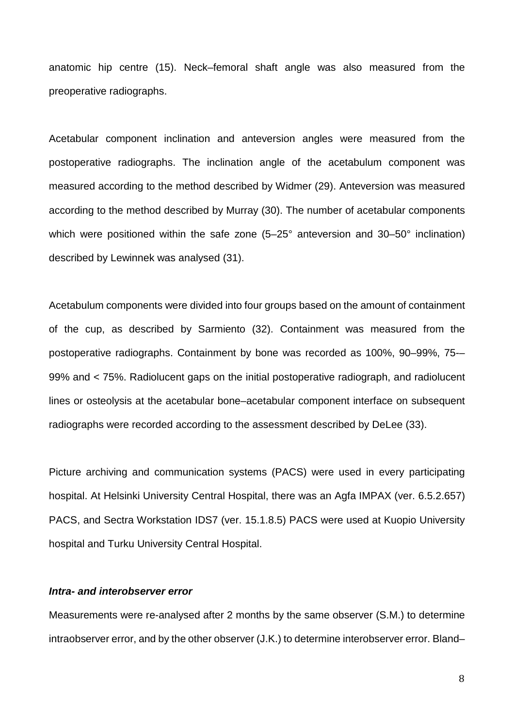anatomic hip centre (15). Neck–femoral shaft angle was also measured from the preoperative radiographs.

Acetabular component inclination and anteversion angles were measured from the postoperative radiographs. The inclination angle of the acetabulum component was measured according to the method described by Widmer (29). Anteversion was measured according to the method described by Murray (30). The number of acetabular components which were positioned within the safe zone (5–25° anteversion and 30–50° inclination) described by Lewinnek was analysed (31).

Acetabulum components were divided into four groups based on the amount of containment of the cup, as described by Sarmiento (32). Containment was measured from the postoperative radiographs. Containment by bone was recorded as 100%, 90–99%, 75-– 99% and < 75%. Radiolucent gaps on the initial postoperative radiograph, and radiolucent lines or osteolysis at the acetabular bone–acetabular component interface on subsequent radiographs were recorded according to the assessment described by DeLee (33).

Picture archiving and communication systems (PACS) were used in every participating hospital. At Helsinki University Central Hospital, there was an Agfa IMPAX (ver. 6.5.2.657) PACS, and Sectra Workstation IDS7 (ver. 15.1.8.5) PACS were used at Kuopio University hospital and Turku University Central Hospital.

#### *Intra- and interobserver error*

Measurements were re-analysed after 2 months by the same observer (S.M.) to determine intraobserver error, and by the other observer (J.K.) to determine interobserver error. Bland–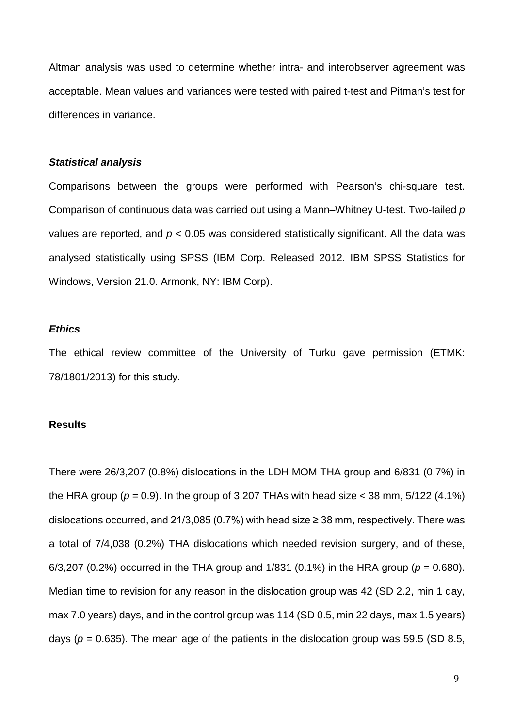Altman analysis was used to determine whether intra- and interobserver agreement was acceptable. Mean values and variances were tested with paired t-test and Pitman's test for differences in variance.

#### *Statistical analysis*

Comparisons between the groups were performed with Pearson's chi-square test. Comparison of continuous data was carried out using a Mann–Whitney U-test. Two-tailed *p* values are reported, and *p* < 0.05 was considered statistically significant. All the data was analysed statistically using SPSS (IBM Corp. Released 2012. IBM SPSS Statistics for Windows, Version 21.0. Armonk, NY: IBM Corp).

#### *Ethics*

The ethical review committee of the University of Turku gave permission (ETMK: 78/1801/2013) for this study.

#### **Results**

There were 26/3,207 (0.8%) dislocations in the LDH MOM THA group and 6/831 (0.7%) in the HRA group ( $p = 0.9$ ). In the group of 3,207 THAs with head size  $<$  38 mm, 5/122 (4.1%) dislocations occurred, and 21/3,085 (0.7%) with head size  $\geq$  38 mm, respectively. There was a total of 7/4,038 (0.2%) THA dislocations which needed revision surgery, and of these, 6/3,207 (0.2%) occurred in the THA group and 1/831 (0.1%) in the HRA group (*p* = 0.680). Median time to revision for any reason in the dislocation group was 42 (SD 2.2, min 1 day, max 7.0 years) days, and in the control group was 114 (SD 0.5, min 22 days, max 1.5 years) days ( $p = 0.635$ ). The mean age of the patients in the dislocation group was 59.5 (SD 8.5,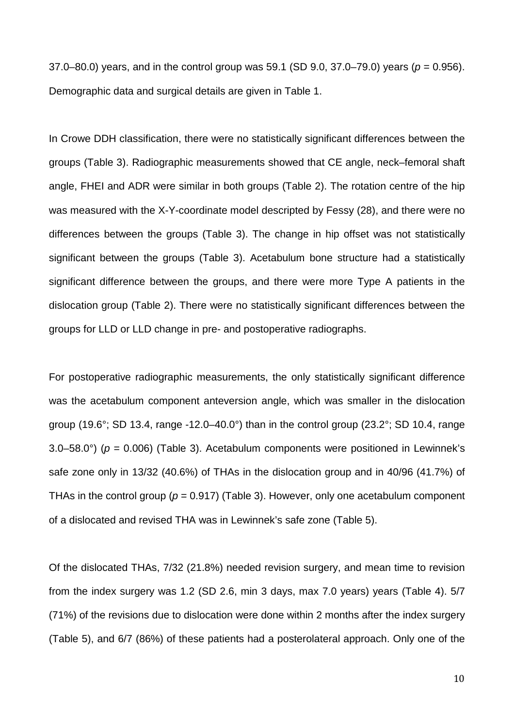37.0–80.0) years, and in the control group was 59.1 (SD 9.0, 37.0–79.0) years (*p* = 0.956). Demographic data and surgical details are given in Table 1.

In Crowe DDH classification, there were no statistically significant differences between the groups (Table 3). Radiographic measurements showed that CE angle, neck–femoral shaft angle, FHEI and ADR were similar in both groups (Table 2). The rotation centre of the hip was measured with the X-Y-coordinate model descripted by Fessy (28), and there were no differences between the groups (Table 3). The change in hip offset was not statistically significant between the groups (Table 3). Acetabulum bone structure had a statistically significant difference between the groups, and there were more Type A patients in the dislocation group (Table 2). There were no statistically significant differences between the groups for LLD or LLD change in pre- and postoperative radiographs.

For postoperative radiographic measurements, the only statistically significant difference was the acetabulum component anteversion angle, which was smaller in the dislocation group (19.6°; SD 13.4, range -12.0–40.0°) than in the control group (23.2°; SD 10.4, range 3.0–58.0°) ( $p = 0.006$ ) (Table 3). Acetabulum components were positioned in Lewinnek's safe zone only in 13/32 (40.6%) of THAs in the dislocation group and in 40/96 (41.7%) of THAs in the control group ( $p = 0.917$ ) (Table 3). However, only one acetabulum component of a dislocated and revised THA was in Lewinnek's safe zone (Table 5).

Of the dislocated THAs, 7/32 (21.8%) needed revision surgery, and mean time to revision from the index surgery was 1.2 (SD 2.6, min 3 days, max 7.0 years) years (Table 4). 5/7 (71%) of the revisions due to dislocation were done within 2 months after the index surgery (Table 5), and 6/7 (86%) of these patients had a posterolateral approach. Only one of the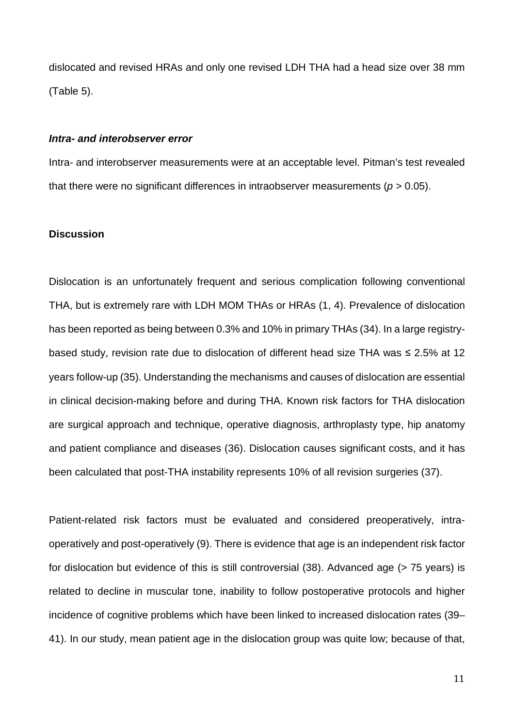dislocated and revised HRAs and only one revised LDH THA had a head size over 38 mm (Table 5).

#### *Intra- and interobserver error*

Intra- and interobserver measurements were at an acceptable level. Pitman's test revealed that there were no significant differences in intraobserver measurements ( $p > 0.05$ ).

#### **Discussion**

Dislocation is an unfortunately frequent and serious complication following conventional THA, but is extremely rare with LDH MOM THAs or HRAs (1, 4). Prevalence of dislocation has been reported as being between 0.3% and 10% in primary THAs (34). In a large registrybased study, revision rate due to dislocation of different head size THA was ≤ 2.5% at 12 years follow-up (35). Understanding the mechanisms and causes of dislocation are essential in clinical decision-making before and during THA. Known risk factors for THA dislocation are surgical approach and technique, operative diagnosis, arthroplasty type, hip anatomy and patient compliance and diseases (36). Dislocation causes significant costs, and it has been calculated that post-THA instability represents 10% of all revision surgeries (37).

Patient-related risk factors must be evaluated and considered preoperatively, intraoperatively and post-operatively (9). There is evidence that age is an independent risk factor for dislocation but evidence of this is still controversial (38). Advanced age (> 75 years) is related to decline in muscular tone, inability to follow postoperative protocols and higher incidence of cognitive problems which have been linked to increased dislocation rates (39– 41). In our study, mean patient age in the dislocation group was quite low; because of that,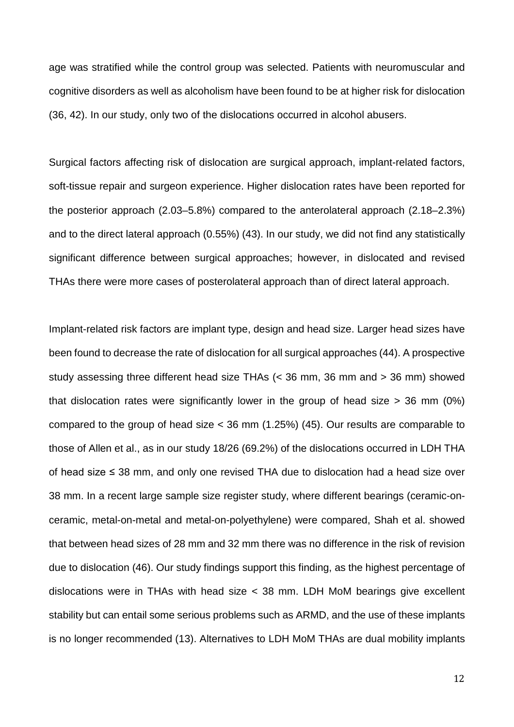age was stratified while the control group was selected. Patients with neuromuscular and cognitive disorders as well as alcoholism have been found to be at higher risk for dislocation (36, 42). In our study, only two of the dislocations occurred in alcohol abusers.

Surgical factors affecting risk of dislocation are surgical approach, implant-related factors, soft-tissue repair and surgeon experience. Higher dislocation rates have been reported for the posterior approach (2.03–5.8%) compared to the anterolateral approach (2.18–2.3%) and to the direct lateral approach (0.55%) (43). In our study, we did not find any statistically significant difference between surgical approaches; however, in dislocated and revised THAs there were more cases of posterolateral approach than of direct lateral approach.

Implant-related risk factors are implant type, design and head size. Larger head sizes have been found to decrease the rate of dislocation for all surgical approaches (44). A prospective study assessing three different head size THAs (< 36 mm, 36 mm and > 36 mm) showed that dislocation rates were significantly lower in the group of head size  $>$  36 mm (0%) compared to the group of head size < 36 mm (1.25%) (45). Our results are comparable to those of Allen et al., as in our study 18/26 (69.2%) of the dislocations occurred in LDH THA of head size ≤ 38 mm, and only one revised THA due to dislocation had a head size over 38 mm. In a recent large sample size register study, where different bearings (ceramic-onceramic, metal-on-metal and metal-on-polyethylene) were compared, Shah et al. showed that between head sizes of 28 mm and 32 mm there was no difference in the risk of revision due to dislocation (46). Our study findings support this finding, as the highest percentage of dislocations were in THAs with head size < 38 mm. LDH MoM bearings give excellent stability but can entail some serious problems such as ARMD, and the use of these implants is no longer recommended (13). Alternatives to LDH MoM THAs are dual mobility implants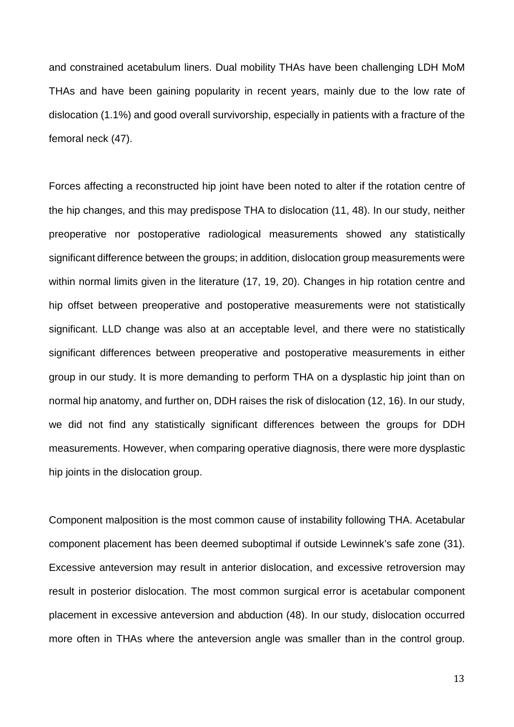and constrained acetabulum liners. Dual mobility THAs have been challenging LDH MoM THAs and have been gaining popularity in recent years, mainly due to the low rate of dislocation (1.1%) and good overall survivorship, especially in patients with a fracture of the femoral neck (47).

Forces affecting a reconstructed hip joint have been noted to alter if the rotation centre of the hip changes, and this may predispose THA to dislocation (11, 48). In our study, neither preoperative nor postoperative radiological measurements showed any statistically significant difference between the groups; in addition, dislocation group measurements were within normal limits given in the literature (17, 19, 20). Changes in hip rotation centre and hip offset between preoperative and postoperative measurements were not statistically significant. LLD change was also at an acceptable level, and there were no statistically significant differences between preoperative and postoperative measurements in either group in our study. It is more demanding to perform THA on a dysplastic hip joint than on normal hip anatomy, and further on, DDH raises the risk of dislocation (12, 16). In our study, we did not find any statistically significant differences between the groups for DDH measurements. However, when comparing operative diagnosis, there were more dysplastic hip joints in the dislocation group.

Component malposition is the most common cause of instability following THA. Acetabular component placement has been deemed suboptimal if outside Lewinnek's safe zone (31). Excessive anteversion may result in anterior dislocation, and excessive retroversion may result in posterior dislocation. The most common surgical error is acetabular component placement in excessive anteversion and abduction (48). In our study, dislocation occurred more often in THAs where the anteversion angle was smaller than in the control group.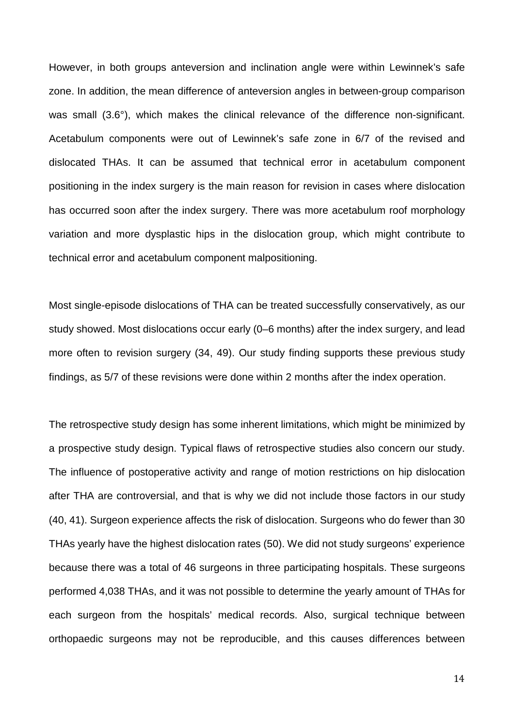However, in both groups anteversion and inclination angle were within Lewinnek's safe zone. In addition, the mean difference of anteversion angles in between-group comparison was small (3.6°), which makes the clinical relevance of the difference non-significant. Acetabulum components were out of Lewinnek's safe zone in 6/7 of the revised and dislocated THAs. It can be assumed that technical error in acetabulum component positioning in the index surgery is the main reason for revision in cases where dislocation has occurred soon after the index surgery. There was more acetabulum roof morphology variation and more dysplastic hips in the dislocation group, which might contribute to technical error and acetabulum component malpositioning.

Most single-episode dislocations of THA can be treated successfully conservatively, as our study showed. Most dislocations occur early (0–6 months) after the index surgery, and lead more often to revision surgery (34, 49). Our study finding supports these previous study findings, as 5/7 of these revisions were done within 2 months after the index operation.

The retrospective study design has some inherent limitations, which might be minimized by a prospective study design. Typical flaws of retrospective studies also concern our study. The influence of postoperative activity and range of motion restrictions on hip dislocation after THA are controversial, and that is why we did not include those factors in our study (40, 41). Surgeon experience affects the risk of dislocation. Surgeons who do fewer than 30 THAs yearly have the highest dislocation rates (50). We did not study surgeons' experience because there was a total of 46 surgeons in three participating hospitals. These surgeons performed 4,038 THAs, and it was not possible to determine the yearly amount of THAs for each surgeon from the hospitals' medical records. Also, surgical technique between orthopaedic surgeons may not be reproducible, and this causes differences between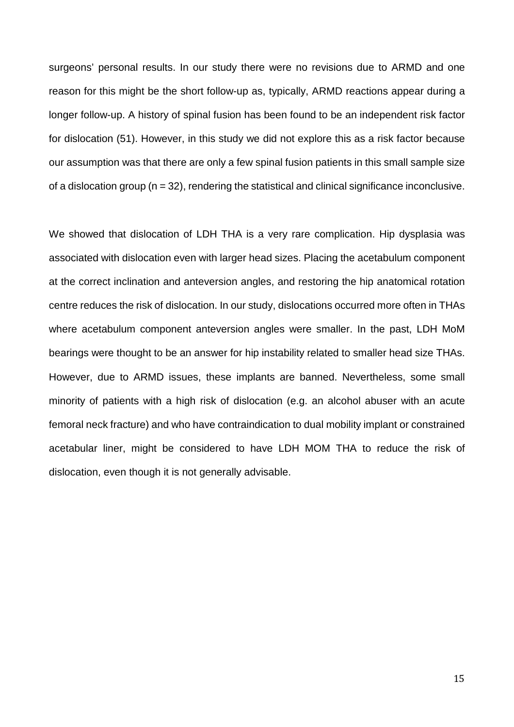surgeons' personal results. In our study there were no revisions due to ARMD and one reason for this might be the short follow-up as, typically, ARMD reactions appear during a longer follow-up. A history of spinal fusion has been found to be an independent risk factor for dislocation (51). However, in this study we did not explore this as a risk factor because our assumption was that there are only a few spinal fusion patients in this small sample size of a dislocation group  $(n = 32)$ , rendering the statistical and clinical significance inconclusive.

We showed that dislocation of LDH THA is a very rare complication. Hip dysplasia was associated with dislocation even with larger head sizes. Placing the acetabulum component at the correct inclination and anteversion angles, and restoring the hip anatomical rotation centre reduces the risk of dislocation. In our study, dislocations occurred more often in THAs where acetabulum component anteversion angles were smaller. In the past, LDH MoM bearings were thought to be an answer for hip instability related to smaller head size THAs. However, due to ARMD issues, these implants are banned. Nevertheless, some small minority of patients with a high risk of dislocation (e.g. an alcohol abuser with an acute femoral neck fracture) and who have contraindication to dual mobility implant or constrained acetabular liner, might be considered to have LDH MOM THA to reduce the risk of dislocation, even though it is not generally advisable.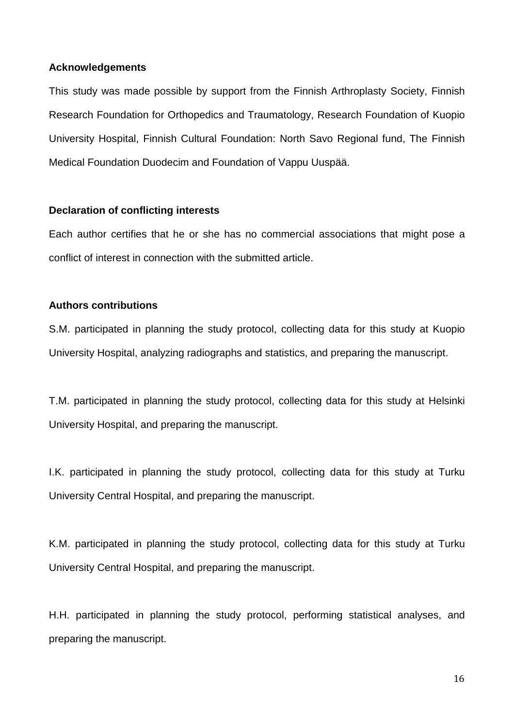#### **Acknowledgements**

This study was made possible by support from the Finnish Arthroplasty Society, Finnish Research Foundation for Orthopedics and Traumatology, Research Foundation of Kuopio University Hospital, Finnish Cultural Foundation: North Savo Regional fund, The Finnish Medical Foundation Duodecim and Foundation of Vappu Uuspää.

### **Declaration of conflicting interests**

Each author certifies that he or she has no commercial associations that might pose a conflict of interest in connection with the submitted article.

## **Authors contributions**

S.M. participated in planning the study protocol, collecting data for this study at Kuopio University Hospital, analyzing radiographs and statistics, and preparing the manuscript.

T.M. participated in planning the study protocol, collecting data for this study at Helsinki University Hospital, and preparing the manuscript.

I.K. participated in planning the study protocol, collecting data for this study at Turku University Central Hospital, and preparing the manuscript.

K.M. participated in planning the study protocol, collecting data for this study at Turku University Central Hospital, and preparing the manuscript.

H.H. participated in planning the study protocol, performing statistical analyses, and preparing the manuscript.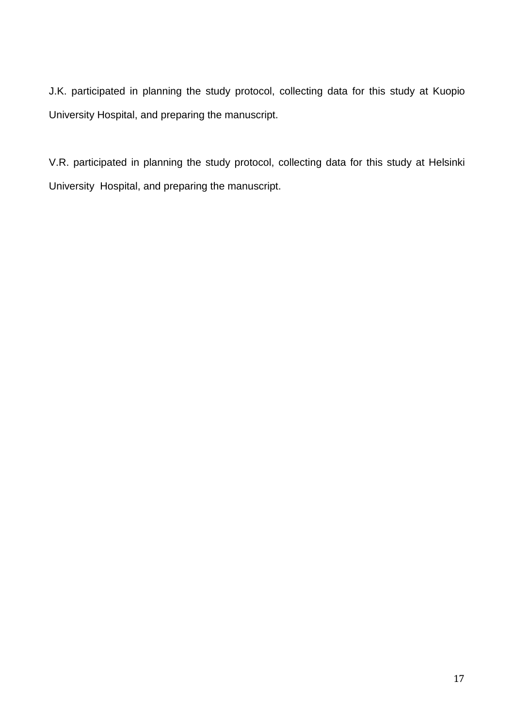J.K. participated in planning the study protocol, collecting data for this study at Kuopio University Hospital, and preparing the manuscript.

V.R. participated in planning the study protocol, collecting data for this study at Helsinki University Hospital, and preparing the manuscript.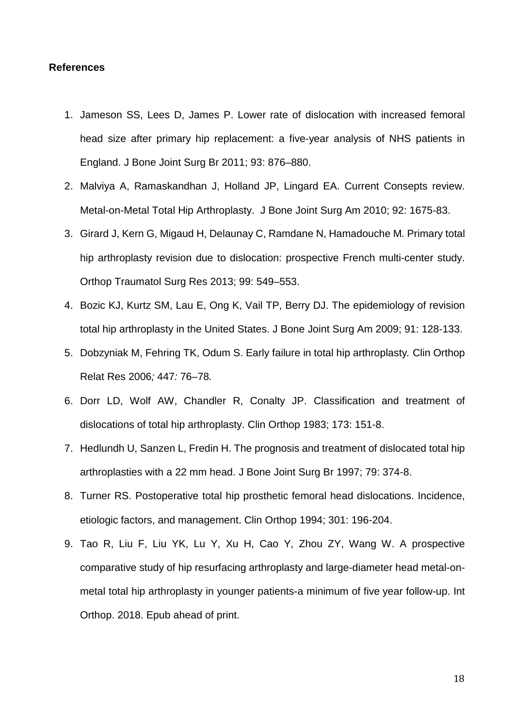#### **References**

- 1. Jameson SS, Lees D, James P. Lower rate of dislocation with increased femoral head size after primary hip replacement: a five-year analysis of NHS patients in England. J Bone Joint Surg Br 2011; 93: 876–880.
- 2. Malviya A, Ramaskandhan J, Holland JP, Lingard EA. Current Consepts review. Metal-on-Metal Total Hip Arthroplasty. J Bone Joint Surg Am 2010; 92: 1675-83.
- 3. Girard J, Kern G, Migaud H, Delaunay C, Ramdane N, Hamadouche M*.* Primary total hip arthroplasty revision due to dislocation: prospective French multi-center study. Orthop Traumatol Surg Res 2013; 99: 549–553.
- 4. Bozic KJ, Kurtz SM, Lau E, Ong K, Vail TP, Berry DJ. The epidemiology of revision total hip arthroplasty in the United States. J Bone Joint Surg Am 2009; 91: 128-133.
- 5. Dobzyniak M, Fehring TK, Odum S. Early failure in total hip arthroplasty*.* Clin Orthop Relat Res 2006*;* 447*:* 76*–*78*.*
- 6. Dorr LD, Wolf AW, Chandler R, Conalty JP. Classification and treatment of dislocations of total hip arthroplasty. Clin Orthop 1983; 173: 151-8.
- 7. Hedlundh U, Sanzen L, Fredin H. The prognosis and treatment of dislocated total hip arthroplasties with a 22 mm head. J Bone Joint Surg Br 1997; 79: 374-8.
- 8. Turner RS. Postoperative total hip prosthetic femoral head dislocations. Incidence, etiologic factors, and management. Clin Orthop 1994; 301: 196-204.
- 9. Tao R, Liu F, Liu YK, Lu Y, Xu H, Cao Y, Zhou ZY, Wang W. A prospective comparative study of hip resurfacing arthroplasty and large-diameter head metal-onmetal total hip arthroplasty in younger patients-a minimum of five year follow-up. Int Orthop. 2018. Epub ahead of print.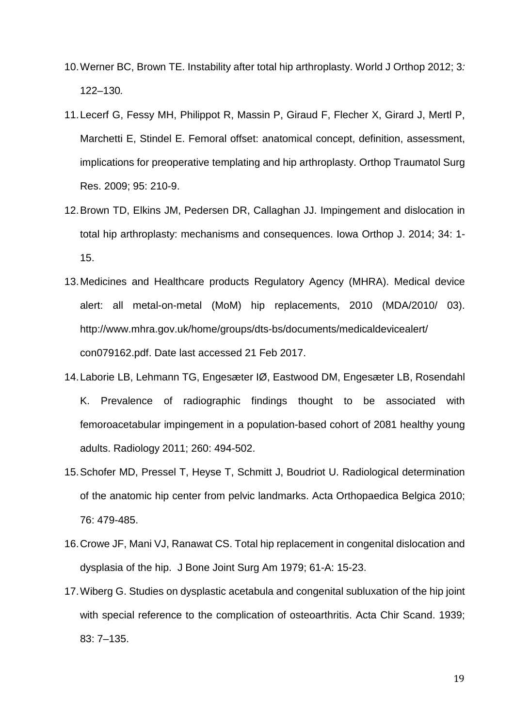- 10.Werner BC, Brown TE. Instability after total hip arthroplasty. World J Orthop 2012; 3*:* 122*–*130*.*
- 11.Lecerf G, Fessy MH, Philippot R, Massin P, Giraud F, Flecher X, Girard J, Mertl P, Marchetti E, Stindel E. Femoral offset: anatomical concept, definition, assessment, implications for preoperative templating and hip arthroplasty. Orthop Traumatol Surg Res. 2009; 95: 210-9.
- 12.Brown TD, Elkins JM, Pedersen DR, Callaghan JJ. Impingement and dislocation in total hip arthroplasty: mechanisms and consequences. Iowa Orthop J. 2014; 34: 1- 15.
- 13.Medicines and Healthcare products Regulatory Agency (MHRA). Medical device alert: all metal-on-metal (MoM) hip replacements, 2010 (MDA/2010/ 03). http://www.mhra.gov.uk/home/groups/dts-bs/documents/medicaldevicealert/ con079162.pdf. Date last accessed 21 Feb 2017.
- 14.Laborie LB, Lehmann TG, Engesæter IØ, Eastwood DM, Engesæter LB, [Rosendahl](http://www.ncbi.nlm.nih.gov/pubmed/?term=Rosendahl%20K%5BAuthor%5D&cauthor=true&cauthor_uid=21613440) [K.](http://www.ncbi.nlm.nih.gov/pubmed/?term=Rosendahl%20K%5BAuthor%5D&cauthor=true&cauthor_uid=21613440) Prevalence of radiographic findings thought to be associated with femoroacetabular impingement in a population-based cohort of 2081 healthy young adults. Radiology 2011; 260: 494-502.
- 15.Schofer MD, Pressel T, Heyse T, Schmitt J, Boudriot U. Radiological determination of the anatomic hip center from pelvic landmarks. Acta Orthopaedica Belgica 2010; 76: 479-485.
- 16.Crowe JF, Mani VJ, Ranawat CS. Total hip replacement in congenital dislocation and dysplasia of the hip. J Bone Joint Surg Am 1979; 61-A: 15-23.
- 17.Wiberg G. Studies on dysplastic acetabula and congenital subluxation of the hip joint with special reference to the complication of osteoarthritis. Acta Chir Scand. 1939; 83: 7–135.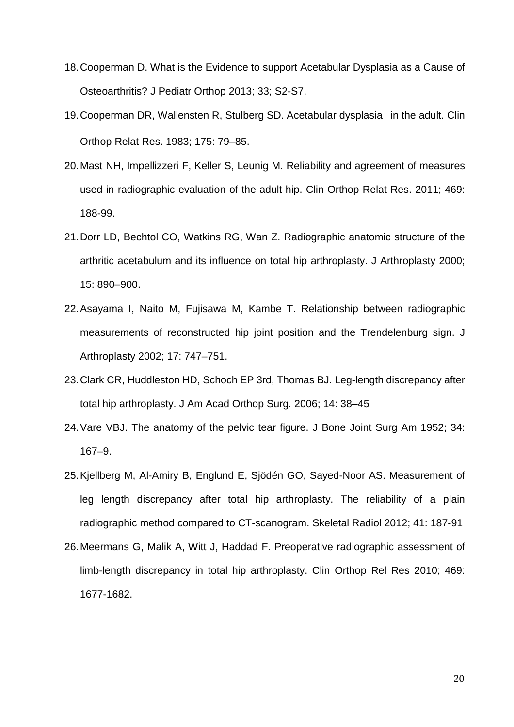- 18.Cooperman D. What is the Evidence to support Acetabular Dysplasia as a Cause of Osteoarthritis? J Pediatr Orthop 2013; 33; S2-S7.
- 19.Cooperman DR, Wallensten R, Stulberg SD. Acetabular dysplasia in the adult. Clin Orthop Relat Res. 1983; 175: 79–85.
- 20.Mast NH, Impellizzeri F, Keller S, Leunig M. Reliability and agreement of measures used in radiographic evaluation of the adult hip. Clin Orthop Relat Res. 2011; 469: 188-99.
- 21.Dorr LD, Bechtol CO, Watkins RG, Wan Z. Radiographic anatomic structure of the arthritic acetabulum and its influence on total hip arthroplasty. J Arthroplasty 2000; 15: 890–900.
- 22.Asayama I, Naito M, Fujisawa M, Kambe T. Relationship between radiographic measurements of reconstructed hip joint position and the Trendelenburg sign. J Arthroplasty 2002; 17: 747–751.
- 23.Clark CR, Huddleston HD, Schoch EP 3rd, Thomas BJ. Leg-length discrepancy after total hip arthroplasty. J Am Acad Orthop Surg. 2006; 14: 38–45
- 24.Vare VBJ. The anatomy of the pelvic tear figure. J Bone Joint Surg Am 1952; 34: 167–9.
- 25.Kjellberg M, Al-Amiry B, Englund E, Sjödén GO, Sayed-Noor AS. Measurement of leg length discrepancy after total hip arthroplasty. The reliability of a plain radiographic method compared to CT-scanogram. Skeletal Radiol 2012; 41: 187-91
- 26.Meermans G, Malik A, Witt J, Haddad F. Preoperative radiographic assessment of limb-length discrepancy in total hip arthroplasty. Clin Orthop Rel Res 2010; 469: 1677-1682.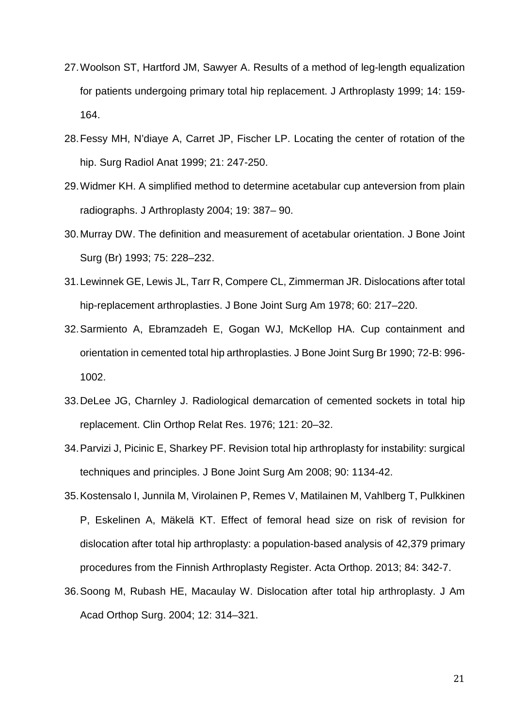- 27.Woolson ST, Hartford JM, Sawyer A. Results of a method of leg-length equalization for patients undergoing primary total hip replacement. J Arthroplasty 1999; 14: 159- 164.
- 28.Fessy MH, N'diaye A, Carret JP, Fischer LP. Locating the center of rotation of the hip. Surg Radiol Anat 1999; 21: 247-250.
- 29.Widmer KH. A simplified method to determine acetabular cup anteversion from plain radiographs. J Arthroplasty 2004; 19: 387– 90.
- 30.Murray DW. The definition and measurement of acetabular orientation. J Bone Joint Surg (Br) 1993; 75: 228–232.
- 31.Lewinnek GE, Lewis JL, Tarr R, Compere CL, Zimmerman JR. Dislocations after total hip-replacement arthroplasties. J Bone Joint Surg Am 1978; 60: 217–220.
- 32.Sarmiento A, Ebramzadeh E, Gogan WJ, McKellop HA. Cup containment and orientation in cemented total hip arthroplasties. J Bone Joint Surg Br 1990; 72-B: 996- 1002.
- 33.DeLee JG, Charnley J. Radiological demarcation of cemented sockets in total hip replacement. Clin Orthop Relat Res. 1976; 121: 20–32.
- 34.Parvizi J, Picinic E, Sharkey PF. Revision total hip arthroplasty for instability: surgical techniques and principles. J Bone Joint Surg Am 2008; 90: 1134-42.
- 35.Kostensalo I, Junnila M, Virolainen P, Remes V, Matilainen M, Vahlberg T, Pulkkinen P, Eskelinen A, Mäkelä KT. Effect of femoral head size on risk of revision for dislocation after total hip arthroplasty: a population-based analysis of 42,379 primary procedures from the Finnish Arthroplasty Register. Acta Orthop. 2013; 84: 342-7.
- 36.Soong M, Rubash HE, Macaulay W. Dislocation after total hip arthroplasty. J Am Acad Orthop Surg. 2004; 12: 314–321.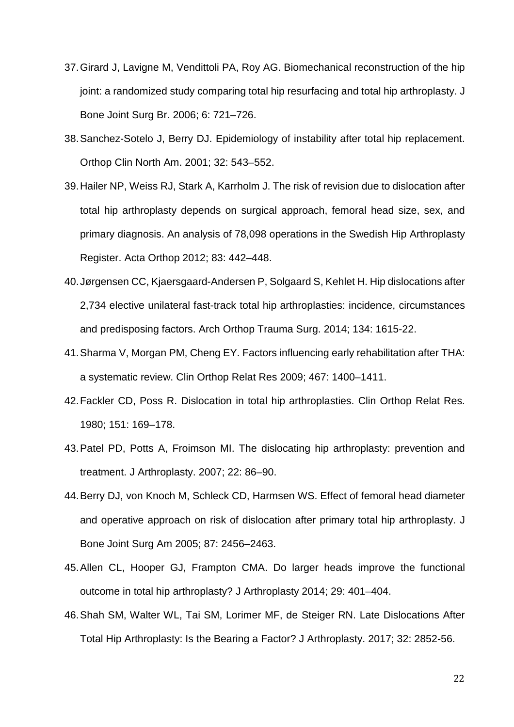- 37.Girard J, Lavigne M, Vendittoli PA, Roy AG. Biomechanical reconstruction of the hip joint: a randomized study comparing total hip resurfacing and total hip arthroplasty. J Bone Joint Surg Br. 2006; 6: 721–726.
- 38.Sanchez-Sotelo J, Berry DJ. Epidemiology of instability after total hip replacement. Orthop Clin North Am. 2001; 32: 543–552.
- 39.Hailer NP, Weiss RJ, Stark A, Karrholm J. The risk of revision due to dislocation after total hip arthroplasty depends on surgical approach, femoral head size, sex, and primary diagnosis. An analysis of 78,098 operations in the Swedish Hip Arthroplasty Register. Acta Orthop 2012; 83: 442–448.
- 40.Jørgensen CC, Kjaersgaard-Andersen P, Solgaard S, Kehlet H. Hip dislocations after 2,734 elective unilateral fast-track total hip arthroplasties: incidence, circumstances and predisposing factors. Arch Orthop Trauma Surg. 2014; 134: 1615-22.
- 41.Sharma V, Morgan PM, Cheng EY. Factors influencing early rehabilitation after THA: a systematic review. Clin Orthop Relat Res 2009; 467: 1400–1411.
- 42.Fackler CD, Poss R. Dislocation in total hip arthroplasties. Clin Orthop Relat Res. 1980; 151: 169–178.
- 43.Patel PD, Potts A, Froimson MI. The dislocating hip arthroplasty: prevention and treatment. J Arthroplasty. 2007; 22: 86–90.
- 44.Berry DJ, von Knoch M, Schleck CD, Harmsen WS. Effect of femoral head diameter and operative approach on risk of dislocation after primary total hip arthroplasty. J Bone Joint Surg Am 2005; 87: 2456–2463.
- 45.Allen CL, Hooper GJ, Frampton CMA. Do larger heads improve the functional outcome in total hip arthroplasty? J Arthroplasty 2014; 29: 401–404.
- 46.Shah SM, Walter WL, Tai SM, Lorimer MF, de Steiger RN. Late Dislocations After Total Hip Arthroplasty: Is the Bearing a Factor? J Arthroplasty. 2017; 32: 2852-56.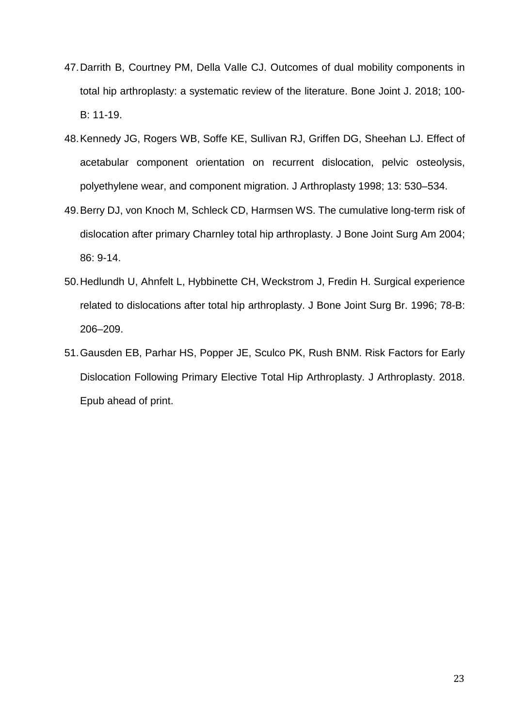- 47.Darrith B, Courtney PM, Della Valle CJ. Outcomes of dual mobility components in total hip arthroplasty: a systematic review of the literature. Bone Joint J. 2018; 100- B: 11-19.
- 48.Kennedy JG, Rogers WB, Soffe KE, Sullivan RJ, Griffen DG, Sheehan LJ. Effect of acetabular component orientation on recurrent dislocation, pelvic osteolysis, polyethylene wear, and component migration. J Arthroplasty 1998; 13: 530–534.
- 49.Berry DJ, von Knoch M, Schleck CD, Harmsen WS. The cumulative long-term risk of dislocation after primary Charnley total hip arthroplasty. J Bone Joint Surg Am 2004; 86: 9-14.
- 50.Hedlundh U, Ahnfelt L, Hybbinette CH, Weckstrom J, Fredin H. Surgical experience related to dislocations after total hip arthroplasty. J Bone Joint Surg Br. 1996; 78-B: 206–209.
- 51.Gausden EB, Parhar HS, Popper JE, Sculco PK, Rush BNM. Risk Factors for Early Dislocation Following Primary Elective Total Hip Arthroplasty. J Arthroplasty. 2018. Epub ahead of print.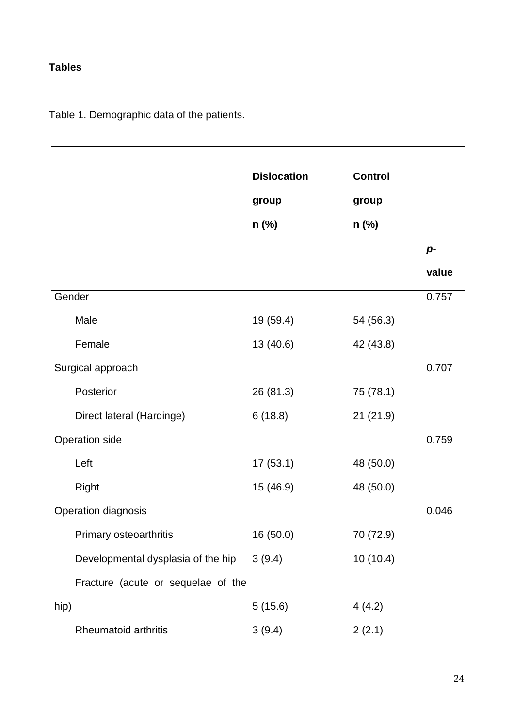# **Tables**

Table 1. Demographic data of the patients.

|                                    | <b>Dislocation</b><br>group<br>$n$ (%) | <b>Control</b><br>group<br>$n$ (%) |       |
|------------------------------------|----------------------------------------|------------------------------------|-------|
|                                    |                                        |                                    | $p-$  |
|                                    |                                        |                                    | value |
| Gender                             |                                        |                                    | 0.757 |
| Male                               | 19 (59.4)                              | 54 (56.3)                          |       |
| Female                             | 13 (40.6)                              | 42 (43.8)                          |       |
| Surgical approach                  |                                        |                                    | 0.707 |
| Posterior                          | 26(81.3)                               | 75 (78.1)                          |       |
| Direct lateral (Hardinge)          | 6(18.8)                                | 21(21.9)                           |       |
| <b>Operation side</b>              |                                        |                                    | 0.759 |
| Left                               | 17(53.1)                               | 48 (50.0)                          |       |
| Right                              | 15 (46.9)                              | 48 (50.0)                          |       |
| Operation diagnosis                |                                        |                                    | 0.046 |
| Primary osteoarthritis             | 16 (50.0)                              | 70 (72.9)                          |       |
| Developmental dysplasia of the hip | 3(9.4)                                 | 10(10.4)                           |       |
| Fracture (acute or sequelae of the |                                        |                                    |       |
| hip)                               | 5(15.6)                                | 4(4.2)                             |       |
| <b>Rheumatoid arthritis</b>        | 3(9.4)                                 | 2(2.1)                             |       |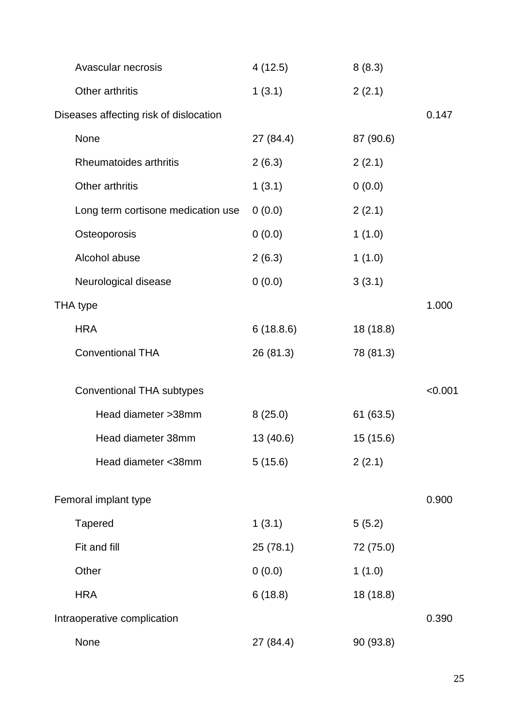| Avascular necrosis                     | 4(12.5)   | 8(8.3)    |         |
|----------------------------------------|-----------|-----------|---------|
| Other arthritis                        | 1(3.1)    | 2(2.1)    |         |
| Diseases affecting risk of dislocation |           |           | 0.147   |
| None                                   | 27 (84.4) | 87 (90.6) |         |
| Rheumatoides arthritis                 | 2(6.3)    | 2(2.1)    |         |
| Other arthritis                        | 1(3.1)    | 0(0.0)    |         |
| Long term cortisone medication use     | 0(0.0)    | 2(2.1)    |         |
| Osteoporosis                           | 0(0.0)    | 1(1.0)    |         |
| Alcohol abuse                          | 2(6.3)    | 1(1.0)    |         |
| Neurological disease                   | 0(0.0)    | 3(3.1)    |         |
| THA type                               |           |           | 1.000   |
| <b>HRA</b>                             | 6(18.8.6) | 18 (18.8) |         |
| <b>Conventional THA</b>                | 26 (81.3) | 78 (81.3) |         |
| <b>Conventional THA subtypes</b>       |           |           | < 0.001 |
| Head diameter > 38mm                   | 8(25.0)   | 61(63.5)  |         |
| Head diameter 38mm                     | 13 (40.6) | 15 (15.6) |         |
| Head diameter <38mm                    | 5(15.6)   | 2(2.1)    |         |
| Femoral implant type                   |           |           | 0.900   |
| <b>Tapered</b>                         | 1(3.1)    | 5(5.2)    |         |
| Fit and fill                           | 25(78.1)  | 72 (75.0) |         |
| Other                                  | 0(0.0)    | 1(1.0)    |         |
| <b>HRA</b>                             | 6(18.8)   | 18 (18.8) |         |
| Intraoperative complication            |           |           | 0.390   |
| None                                   | 27 (84.4) | 90 (93.8) |         |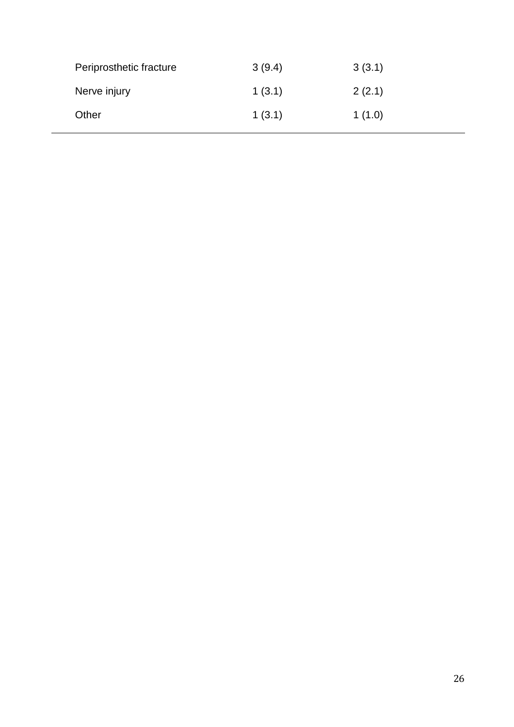| Periprosthetic fracture | 3(9.4) | 3(3.1) |
|-------------------------|--------|--------|
| Nerve injury            | 1(3.1) | 2(2.1) |
| Other                   | 1(3.1) | 1(1.0) |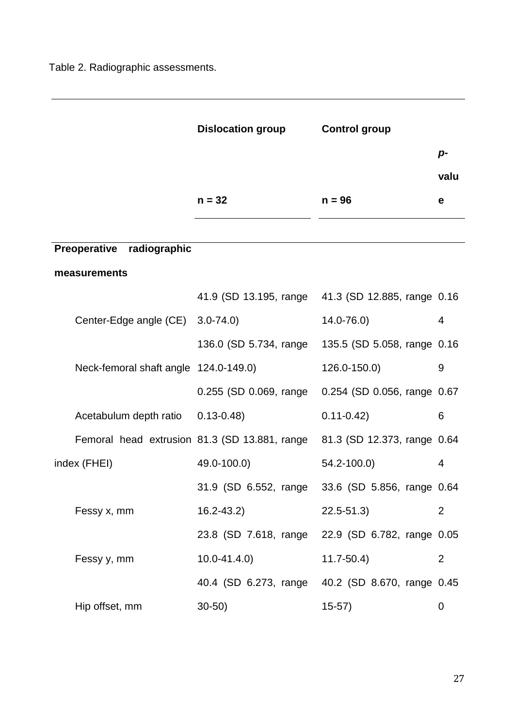Table 2. Radiographic assessments.

|                                       | <b>Dislocation group</b>                                                  | <b>Control group</b>        |                |
|---------------------------------------|---------------------------------------------------------------------------|-----------------------------|----------------|
|                                       |                                                                           |                             | $p-$           |
|                                       |                                                                           |                             | valu           |
|                                       | $n = 32$                                                                  | $n = 96$                    | е              |
|                                       |                                                                           |                             |                |
| Preoperative radiographic             |                                                                           |                             |                |
| measurements                          |                                                                           |                             |                |
|                                       | 41.9 (SD 13.195, range 41.3 (SD 12.885, range 0.16                        |                             |                |
| Center-Edge angle (CE)                | $3.0 - 74.0$                                                              | $14.0 - 76.0$               | $\overline{4}$ |
|                                       | 136.0 (SD 5.734, range                                                    | 135.5 (SD 5.058, range 0.16 |                |
| Neck-femoral shaft angle 124.0-149.0) |                                                                           | $126.0 - 150.0$             | 9              |
|                                       | 0.255 (SD 0.069, range                                                    | 0.254 (SD 0.056, range 0.67 |                |
| Acetabulum depth ratio 0.13-0.48)     |                                                                           | $0.11 - 0.42$               | 6              |
|                                       | Femoral head extrusion 81.3 (SD 13.881, range 81.3 (SD 12.373, range 0.64 |                             |                |
| index (FHEI)                          | 49.0-100.0)                                                               | 54.2-100.0)                 | 4              |
|                                       | 31.9 (SD 6.552, range                                                     | 33.6 (SD 5.856, range 0.64  |                |
| Fessy x, mm                           | $16.2 - 43.2$                                                             | $22.5 - 51.3$               | $\overline{2}$ |
|                                       | 23.8 (SD 7.618, range 22.9 (SD 6.782, range 0.05                          |                             |                |
| Fessy y, mm                           | $10.0 - 41.4.0$                                                           | $11.7 - 50.4$               | $\overline{2}$ |
|                                       | 40.4 (SD 6.273, range 40.2 (SD 8.670, range 0.45                          |                             |                |
| Hip offset, mm                        | $30-50$ )                                                                 | $15-57)$                    | 0              |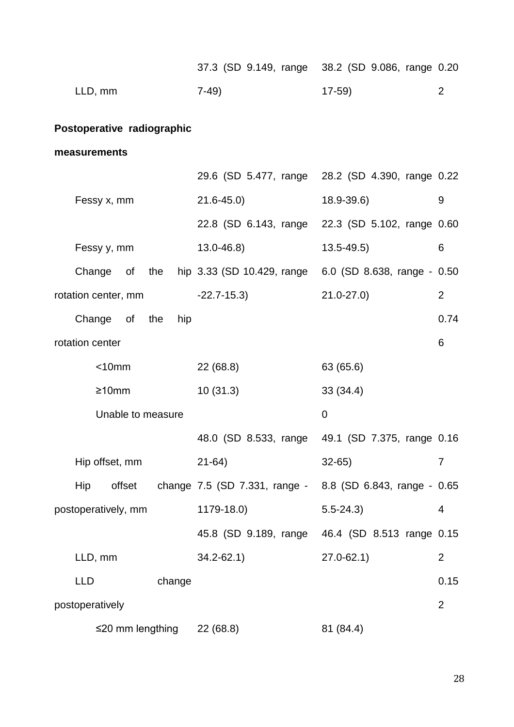|                                  | 37.3 (SD 9.149, range 38.2 (SD 9.086, range 0.20                     |                            |                |
|----------------------------------|----------------------------------------------------------------------|----------------------------|----------------|
| LLD, mm                          | $7-49)$                                                              | $17-59$                    | 2              |
| Postoperative radiographic       |                                                                      |                            |                |
| measurements                     |                                                                      |                            |                |
|                                  | 29.6 (SD 5.477, range 28.2 (SD 4.390, range 0.22                     |                            |                |
| Fessy x, mm                      | $21.6 - 45.0$                                                        | $18.9 - 39.6$              | 9              |
|                                  | 22.8 (SD 6.143, range 22.3 (SD 5.102, range 0.60                     |                            |                |
| Fessy y, mm                      | $13.0 - 46.8$                                                        | $13.5 - 49.5$              | 6              |
|                                  | Change of the hip 3.33 (SD 10.429, range 6.0 (SD 8.638, range - 0.50 |                            |                |
| rotation center, mm -22.7-15.3)  |                                                                      | $21.0 - 27.0$              | 2              |
| Change of the<br>hip             |                                                                      |                            | 0.74           |
| rotation center                  |                                                                      |                            | 6              |
| $<$ 10 $mm$                      | 22(68.8)                                                             | 63 (65.6)                  |                |
| $\geq 10$ mm                     | 10(31.3)                                                             | 33(34.4)                   |                |
| Unable to measure                |                                                                      | 0                          |                |
|                                  | 48.0 (SD 8.533, range                                                | 49.1 (SD 7.375, range 0.16 |                |
| Hip offset, mm                   | $21-64)$                                                             | $32 - 65$                  | $\overline{7}$ |
| Hip                              | offset change 7.5 (SD 7.331, range - 8.8 (SD 6.843, range - 0.65     |                            |                |
| postoperatively, mm              | 1179-18.0)                                                           | $5.5 - 24.3$               | 4              |
|                                  | 45.8 (SD 9.189, range 46.4 (SD 8.513 range 0.15                      |                            |                |
| LLD, mm                          | $34.2 - 62.1$                                                        | $27.0 - 62.1$              | $\overline{2}$ |
| <b>LLD</b><br>change             |                                                                      |                            | 0.15           |
| postoperatively                  |                                                                      |                            | $\overline{2}$ |
| $\leq$ 20 mm lengthing 22 (68.8) |                                                                      | 81 (84.4)                  |                |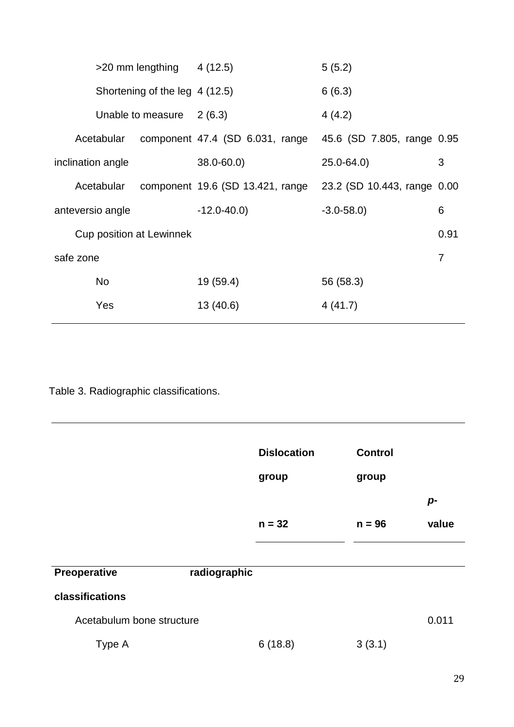|                   | $>20$ mm lengthing 4 (12.5)    |                                 |                                                              | 5(5.2)        |      |  |
|-------------------|--------------------------------|---------------------------------|--------------------------------------------------------------|---------------|------|--|
|                   | Shortening of the leg 4 (12.5) |                                 |                                                              | 6(6.3)        |      |  |
|                   |                                | Unable to measure               | 2(6.3)                                                       | 4(4.2)        |      |  |
|                   | Acetabular                     |                                 | component 47.4 (SD 6.031, range 45.6 (SD 7.805, range 0.95   |               |      |  |
| inclination angle |                                |                                 | $38.0 - 60.0$                                                | $25.0 - 64.0$ | 3    |  |
|                   | Acetabular                     |                                 | component 19.6 (SD 13.421, range 23.2 (SD 10.443, range 0.00 |               |      |  |
| anteversio angle  |                                |                                 | $-12.0 - 40.0$                                               | $-3.0 - 58.0$ | 6    |  |
|                   |                                | <b>Cup position at Lewinnek</b> |                                                              |               | 0.91 |  |
| safe zone         |                                |                                 |                                                              |               | 7    |  |
|                   | <b>No</b>                      |                                 | 19 (59.4)                                                    | 56 (58.3)     |      |  |
|                   | Yes                            |                                 | 13 (40.6)                                                    | 4(41.7)       |      |  |

Table 3. Radiographic classifications.

|                           |              | <b>Dislocation</b><br>group | <b>Control</b><br>group |       |
|---------------------------|--------------|-----------------------------|-------------------------|-------|
|                           |              |                             |                         | p-    |
|                           |              | $n = 32$                    | $n = 96$                | value |
|                           |              |                             |                         |       |
| Preoperative              | radiographic |                             |                         |       |
| classifications           |              |                             |                         |       |
| Acetabulum bone structure |              |                             |                         | 0.011 |
| Type A                    |              | 6(18.8)                     | 3(3.1)                  |       |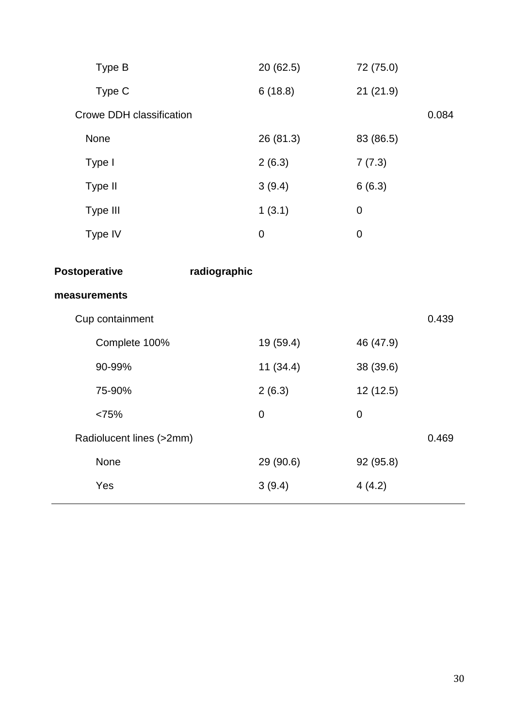| Type B                   | 20(62.5)     | 72 (75.0)        |       |
|--------------------------|--------------|------------------|-------|
| Type C                   | 6(18.8)      | 21(21.9)         |       |
| Crowe DDH classification |              |                  | 0.084 |
| None                     | 26 (81.3)    | 83 (86.5)        |       |
| Type I                   | 2(6.3)       | 7(7.3)           |       |
| Type II                  | 3(9.4)       | 6(6.3)           |       |
| Type III                 | 1(3.1)       | $\boldsymbol{0}$ |       |
| Type IV                  | $\pmb{0}$    | $\mathbf 0$      |       |
| <b>Postoperative</b>     | radiographic |                  |       |
|                          |              |                  |       |
| measurements             |              |                  |       |
| Cup containment          |              |                  | 0.439 |
| Complete 100%            | 19 (59.4)    | 46 (47.9)        |       |
| 90-99%                   | 11(34.4)     | 38 (39.6)        |       |
| 75-90%                   | 2(6.3)       | 12(12.5)         |       |
| <75%                     | $\mathbf 0$  | $\mathbf 0$      |       |
| Radiolucent lines (>2mm) |              |                  | 0.469 |
| None                     | 29 (90.6)    | 92 (95.8)        |       |
| Yes                      | 3(9.4)       | 4(4.2)           |       |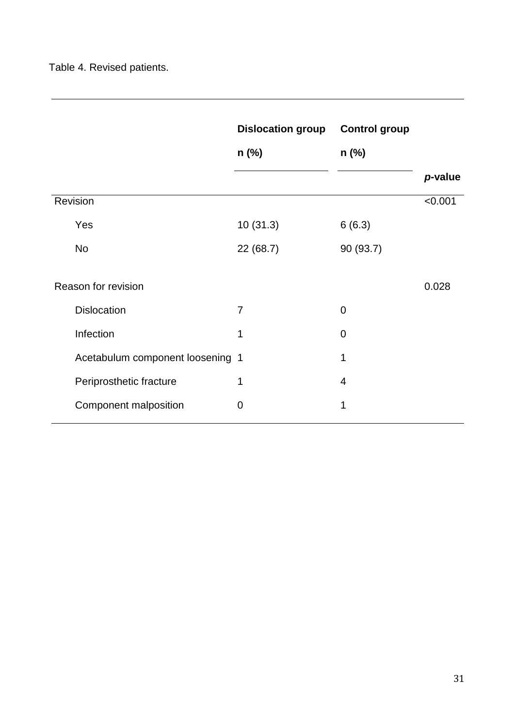|                                  | <b>Dislocation group</b> | <b>Control group</b> |         |
|----------------------------------|--------------------------|----------------------|---------|
|                                  | n (%)                    | $n$ (%)              |         |
|                                  |                          |                      | p-value |
| Revision                         |                          |                      | < 0.001 |
| Yes                              | 10(31.3)                 | 6(6.3)               |         |
| <b>No</b>                        | 22(68.7)                 | 90 (93.7)            |         |
| Reason for revision              |                          |                      | 0.028   |
| <b>Dislocation</b>               | $\overline{7}$           | $\overline{0}$       |         |
| Infection                        | 1                        | 0                    |         |
| Acetabulum component loosening 1 |                          | 1                    |         |
| Periprosthetic fracture          | 1                        | 4                    |         |
| Component malposition            | 0                        | 1                    |         |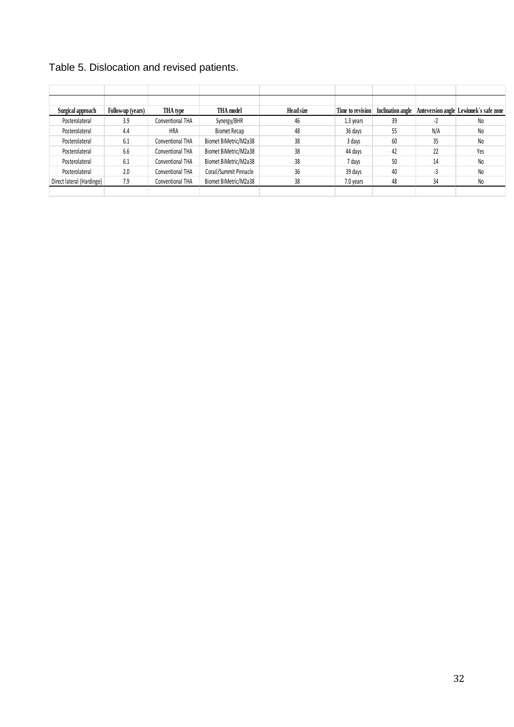| Table 5. Dislocation and revised patients. |  |  |  |
|--------------------------------------------|--|--|--|
|--------------------------------------------|--|--|--|

| Surgical approach         | Follow-up (years) | THA type         | <b>THA</b> model       | Head size | Time to revision | Inclination angle |      | Anteversion angle Lewinnek's safe zone |
|---------------------------|-------------------|------------------|------------------------|-----------|------------------|-------------------|------|----------------------------------------|
| Posterolateral            | 3.9               | Conventional THA | Synergy/BHR            | 46        | 1.3 years        | 39                | $-L$ | N <sub>0</sub>                         |
| Posterolateral            | 4.4               | HRA              | <b>Biomet Recap</b>    | 48        | 36 days          | 55                | N/A  | N <sub>0</sub>                         |
| Posterolateral            | 6.1               | Conventional THA | Biomet BiMetric/M2a38  | 38        | 3 days           | 60                | 35   | N <sub>0</sub>                         |
| Posterolateral            | 6.6               | Conventional THA | Biomet BiMetric/M2a38  | 38        | 44 days          | 42                | 22   | Yes                                    |
| Posterolateral            | 6.1               | Conventional THA | Biomet BiMetric/M2a38  | 38        | 7 days           | 50                | 14   | N <sub>0</sub>                         |
| Posterolateral            | 2.0               | Conventional THA | Corail/Summit Pinnacle | 36        | 39 days          | 40                | -3   | N <sub>o</sub>                         |
| Direct lateral (Hardinge) | 7.9               | Conventional THA | Biomet BiMetric/M2a38  | 38        | 7.0 years        | 48                | 34   | N <sub>0</sub>                         |
|                           |                   |                  |                        |           |                  |                   |      |                                        |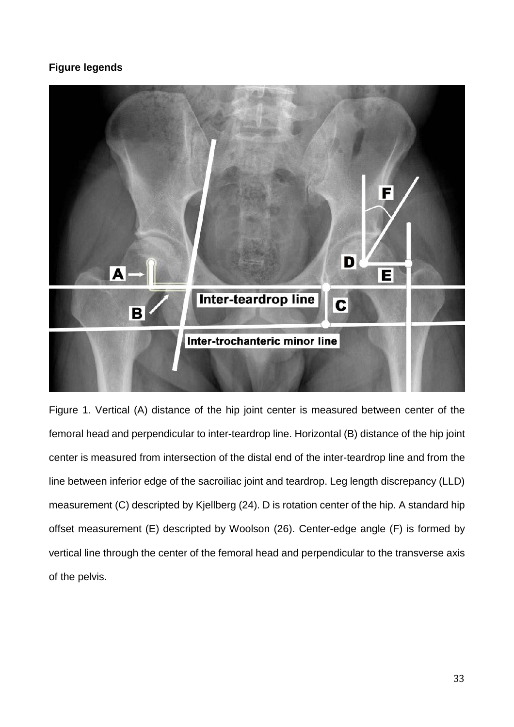# **Figure legends**



Figure 1. Vertical (A) distance of the hip joint center is measured between center of the femoral head and perpendicular to inter-teardrop line. Horizontal (B) distance of the hip joint center is measured from intersection of the distal end of the inter-teardrop line and from the line between inferior edge of the sacroiliac joint and teardrop. Leg length discrepancy (LLD) measurement (C) descripted by Kjellberg (24). D is rotation center of the hip. A standard hip offset measurement (E) descripted by Woolson (26). Center-edge angle (F) is formed by vertical line through the center of the femoral head and perpendicular to the transverse axis of the pelvis.